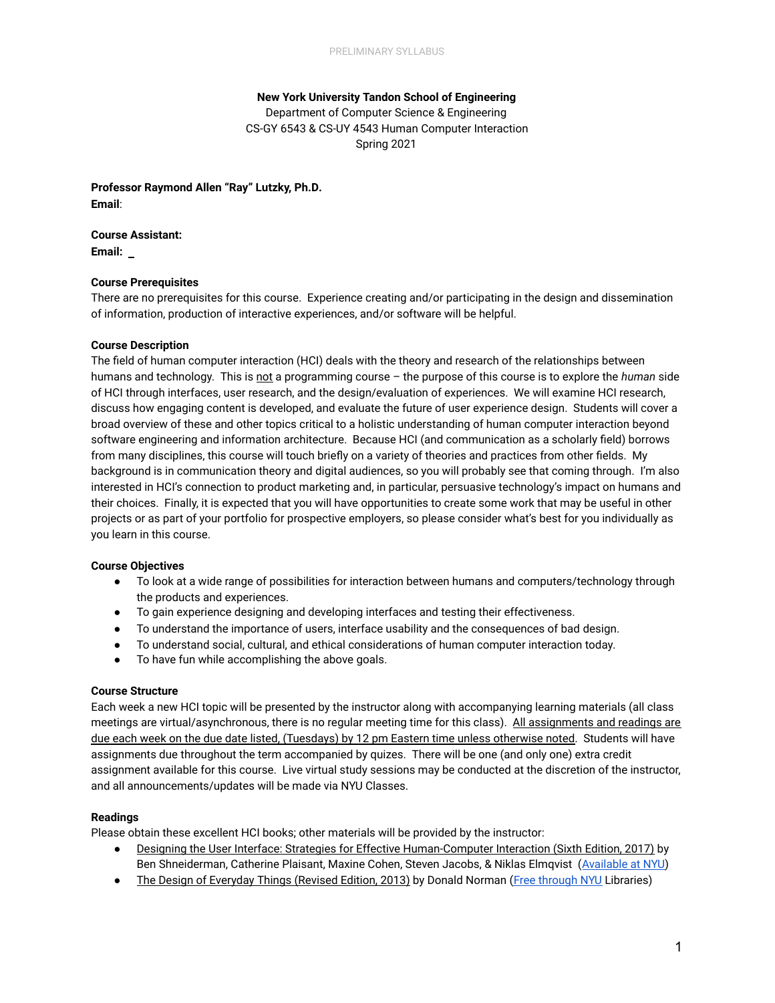# **New York University Tandon School of Engineering**  Department of Computer Science & Engineering CS-GY 6543 & CS-UY 4543 Human Computer Interaction Spring 2021

**Professor Raymond Allen "Ray" Lutzky, Ph.D. Email** :

**Course Assistant: Email:** 

### **Course Prerequisites**

There are no prerequisites for this course. Experience creating and/or participating in the design and dissemination of information, production of interactive experiences, and/or software will be helpful.

#### **Course Description**

The field of human computer interaction (HCI) deals with the theory and research of the relationships between humans and technology. This is not a programming course - the purpose of this course is to explore the *human* side of HCI through interfaces, user research, and the design/evaluation of experiences. We will examine HCI research, discuss how engaging content is developed, and evaluate the future of user experience design. Students will cover a broad overview of these and other topics critical to a holistic understanding of human computer interaction beyond software engineering and information architecture. Because HCI (and communication as a scholarly field) borrows from many disciplines, this course will touch briefly on a variety of theories and practices from other fields. My background is in communication theory and digital audiences, so you will probably see that coming through. I'm also interested in HCI's connection to product marketing and, in particular, persuasive technology's impact on humans and their choices. Finally, it is expected that you will have opportunities to create some work that may be useful in other projects or as part of your portfolio for prospective employers, so please consider what's best for you individually as you learn in this course.

## **Course Objectives**

- To look at a wide range of possibilities for interaction between humans and computers/technology through the products and experiences.
- To gain experience designing and developing interfaces and testing their effectiveness.
- To understand the importance of users, interface usability and the consequences of bad design.
- To understand social, cultural, and ethical considerations of human computer interaction today.
- To have fun while accomplishing the above goals.

### **Course Structure**

Each week a new HCI topic will be presented by the instructor along with accompanying learning materials (all class meetings are virtual/asynchronous, there is no regular meeting time for this class). All assignments and readings are due each week on the due date listed, (Tuesdays) by 12 pm Eastern time unless otherwise noted. Students will have assignments due throughout the term accompanied by quizes. There will be one (and only one) extra credit assignment available for this course. Live virtual study sessions may be conducted at the discretion of the instructor, and all announcements/updates will be made via NYU Classes.

### **Readings**

Please obtain these excellent HCI books; other materials will be provided by the instructor:

- Designing the User Interface: Strategies for Effective Human-Computer Interaction (Sixth Edition, 2017) by Ben Shneiderman, Catherine Plaisant, Maxine Cohen, Steven Jacobs, & Niklas Elmqvist (Available at NYU)
- The Design of Everyday Things (Revised Edition, 2013) by Donald Norman (Free through NYU Libraries)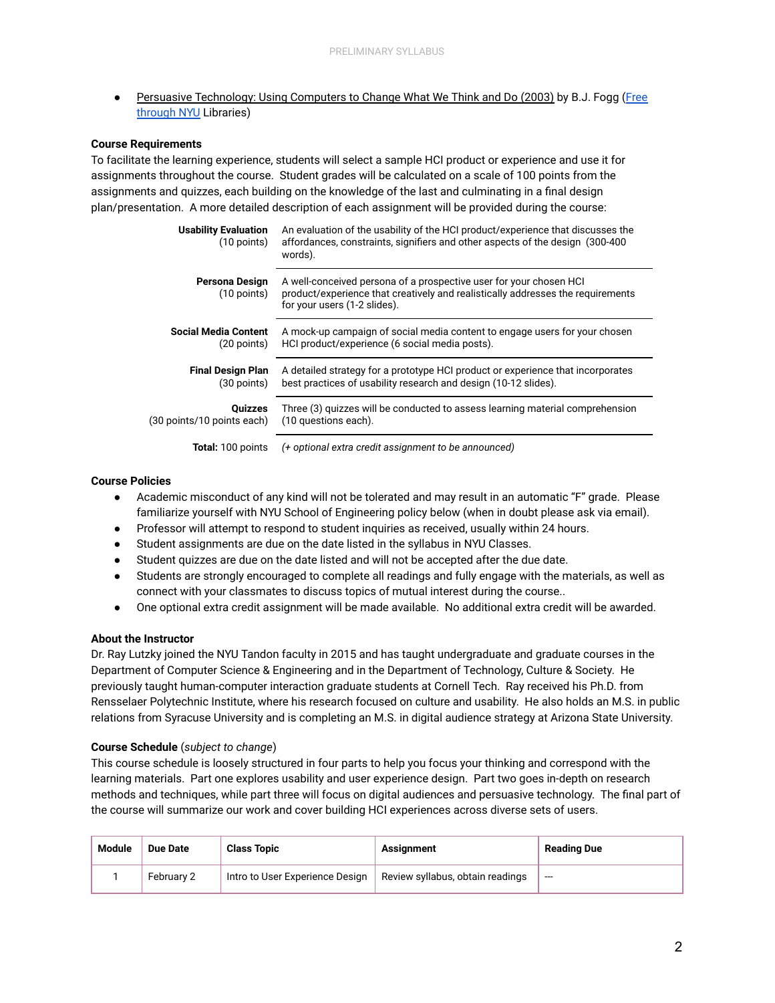Persuasive Technology: Using Computers to Change What We Think and Do (2003) by B.J. Fogg (Free [through NYU](https://bobcat.library.nyu.edu/permalink/f/ci13eu/nyu_aleph004464850) Libraries)

## **Course Requirements**

To facilitate the learning experience, students will select a sample HCI product or experience and use it for assignments throughout the course. Student grades will be calculated on a scale of 100 points from the assignments and quizzes, each building on the knowledge of the last and culminating in a final design plan/presentation. A more detailed description of each assignment will be provided during the course:

| <b>Usability Evaluation</b><br>$(10 \text{ points})$ | An evaluation of the usability of the HCI product/experience that discusses the<br>affordances, constraints, signifiers and other aspects of the design (300-400)<br>words).          |
|------------------------------------------------------|---------------------------------------------------------------------------------------------------------------------------------------------------------------------------------------|
| Persona Design<br>$(10$ points)                      | A well-conceived persona of a prospective user for your chosen HCI<br>product/experience that creatively and realistically addresses the requirements<br>for your users (1-2 slides). |
| Social Media Content                                 | A mock-up campaign of social media content to engage users for your chosen                                                                                                            |
| $(20$ points)                                        | HCI product/experience (6 social media posts).                                                                                                                                        |
| <b>Final Design Plan</b>                             | A detailed strategy for a prototype HCI product or experience that incorporates                                                                                                       |
| (30 points)                                          | best practices of usability research and design (10-12 slides).                                                                                                                       |
| <b>Quizzes</b>                                       | Three (3) quizzes will be conducted to assess learning material comprehension                                                                                                         |
| (30 points/10 points each)                           | (10 questions each).                                                                                                                                                                  |
| <b>Total: 100 points</b>                             | (+ optional extra credit assignment to be announced)                                                                                                                                  |

### **Course Policies**

- Academic misconduct of any kind will not be tolerated and may result in an automatic "F" grade. Please familiarize yourself with NYU School of Engineering policy below (when in doubt please ask via email).
- Professor will attempt to respond to student inquiries as received, usually within 24 hours.
- Student assignments are due on the date listed in the syllabus in NYU Classes.
- Student quizzes are due on the date listed and will not be accepted after the due date.
- Students are strongly encouraged to complete all readings and fully engage with the materials, as well as connect with your classmates to discuss topics of mutual interest during the course..
- One optional extra credit assignment will be made available. No additional extra credit will be awarded.

### **About the Instructor**

Dr. Ray Lutzky joined the NYU Tandon faculty in 2015 and has taught undergraduate and graduate courses in the Department of Computer Science & Engineering and in the Department of Technology, Culture & Society. He previously taught human-computer interaction graduate students at Cornell Tech. Ray received his Ph.D. from Rensselaer Polytechnic Institute, where his research focused on culture and usability. He also holds an M.S. in public relations from Syracuse University and is completing an M.S. in digital audience strategy at Arizona State University.

### **Course Schedule** ( *subject to change* )

This course schedule is loosely structured in four parts to help you focus your thinking and correspond with the learning materials. Part one explores usability and user experience design. Part two goes in-depth on research methods and techniques, while part three will focus on digital audiences and persuasive technology. The final part of the course will summarize our work and cover building HCI experiences across diverse sets of users.

| Module | Due Date   | <b>Class Topic</b>              | Assianment                       | Reading Due |
|--------|------------|---------------------------------|----------------------------------|-------------|
|        | February 2 | Intro to User Experience Design | Review syllabus, obtain readings | $---$       |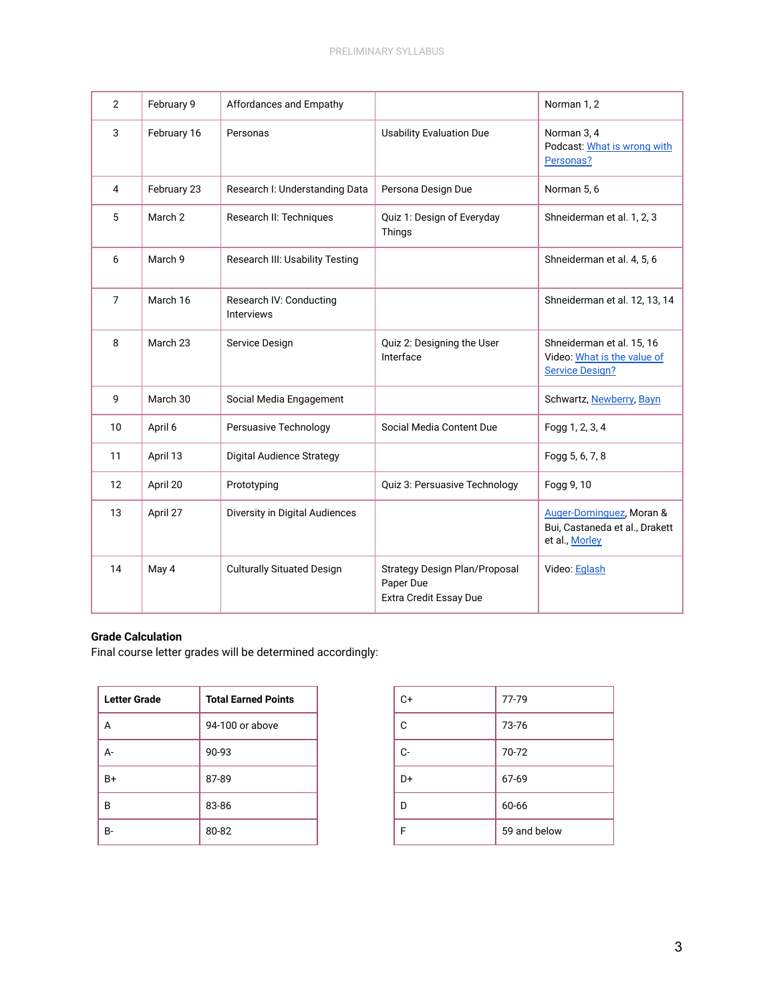| $\overline{2}$ | February 9  | Affordances and Empathy                      |                                                                      | Norman 1, 2                                                                        |
|----------------|-------------|----------------------------------------------|----------------------------------------------------------------------|------------------------------------------------------------------------------------|
| 3              | February 16 | Personas                                     | <b>Usability Evaluation Due</b>                                      | Norman 3, 4<br>Podcast: What is wrong with<br>Personas?                            |
| 4              | February 23 | Research I: Understanding Data               | Persona Design Due                                                   | Norman 5, 6                                                                        |
| 5              | March 2     | Research II: Techniques                      | Quiz 1: Design of Everyday<br>Things                                 | Shneiderman et al. 1, 2, 3                                                         |
| 6              | March 9     | Research III: Usability Testing              |                                                                      | Shneiderman et al. 4, 5, 6                                                         |
| $\overline{7}$ | March 16    | Research IV: Conducting<br><b>Interviews</b> |                                                                      | Shneiderman et al. 12, 13, 14                                                      |
| 8              | March 23    | Service Design                               | Quiz 2: Designing the User<br>Interface                              | Shneiderman et al. 15, 16<br>Video: What is the value of<br><b>Service Design?</b> |
| 9              | March 30    | Social Media Engagement                      |                                                                      | Schwartz, Newberry, Bayn                                                           |
| 10             | April 6     | Persuasive Technology                        | Social Media Content Due                                             | Fogg 1, 2, 3, 4                                                                    |
| 11             | April 13    | Digital Audience Strategy                    |                                                                      | Fogg 5, 6, 7, 8                                                                    |
| 12             | April 20    | Prototyping                                  | Quiz 3: Persuasive Technology                                        | Fogg 9, 10                                                                         |
| 13             | April 27    | Diversity in Digital Audiences               |                                                                      | Auger-Dominguez, Moran &<br>Bui, Castaneda et al., Drakett<br>et al., Morley       |
| 14             | May 4       | <b>Culturally Situated Design</b>            | Strategy Design Plan/Proposal<br>Paper Due<br>Extra Credit Essay Due | Video: Eglash                                                                      |

# **Grade Calculation**

Final course letter grades will be determined accordingly:

| Letter Grade | <b>Total Earned Points</b> |
|--------------|----------------------------|
| А            | 94-100 or above            |
| А-           | 90-93                      |
| B+           | 87-89                      |
| в            | 83-86                      |
| R-           | 80-82                      |

| C+ | 77-79        |
|----|--------------|
| C  | 73-76        |
| C- | 70-72        |
| D+ | 67-69        |
|    | 60-66        |
|    | 59 and below |